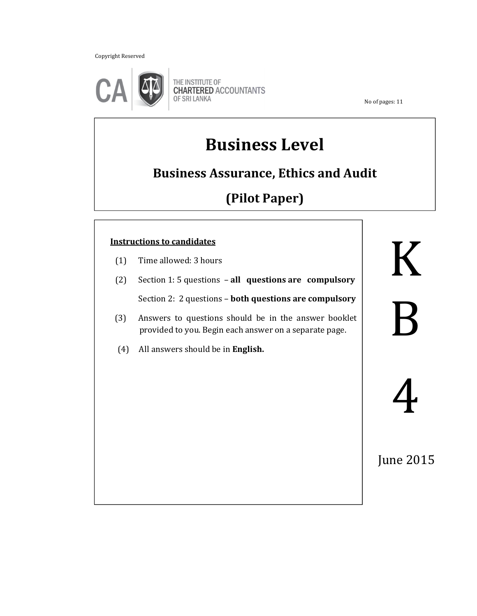Copyright Reserved



THE INSTITUTE OF **CHARTERED ACCOUNTANTS** OF SRI LANKA

No of pages: 11

# **Business Level**

# **Business Assurance, Ethics and Audit**

# **(Pilot Paper)**

### **Instructions to candidates**

- (1) Time allowed: 3 hours
- (2) Section 1: 5 questions **all questions are compulsory**

İ

Section 2: 2 questions – **both questions are compulsory**

- (3) Answers to questions should be in the answer booklet provided to you. Begin each answer on a separate page.
- (4) All answers should be in **English.**

K

B

June 2015

4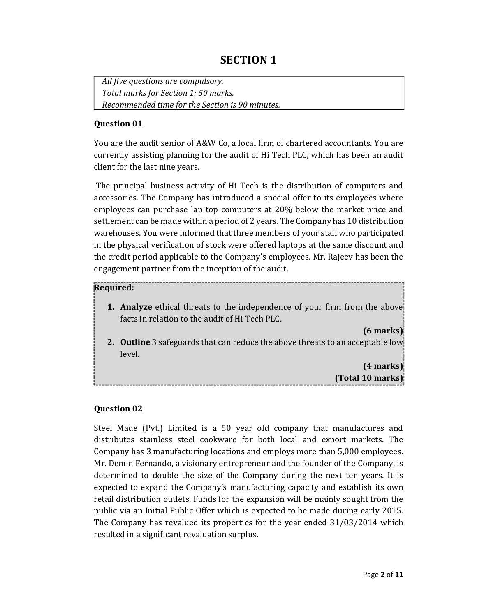# **SECTION 1**

*All five questions are compulsory. Total marks for Section 1: 50 marks. Recommended time for the Section is 90 minutes.* 

#### **Question 01**

You are the audit senior of A&W Co, a local firm of chartered accountants. You are currently assisting planning for the audit of Hi Tech PLC, which has been an audit client for the last nine years.

 The principal business activity of Hi Tech is the distribution of computers and accessories. The Company has introduced a special offer to its employees where employees can purchase lap top computers at 20% below the market price and settlement can be made within a period of 2 years. The Company has 10 distribution warehouses. You were informed that three members of your staff who participated in the physical verification of stock were offered laptops at the same discount and the credit period applicable to the Company's employees. Mr. Rajeev has been the engagement partner from the inception of the audit.

#### **Required:**

**1. Analyze** ethical threats to the independence of your firm from the above facts in relation to the audit of Hi Tech PLC.

**(6 marks)** 

**2. Outline** 3 safeguards that can reduce the above threats to an acceptable low level*.* 

> **(4 marks) (Total 10 marks)**

#### **Question 02**

Steel Made (Pvt.) Limited is a 50 year old company that manufactures and distributes stainless steel cookware for both local and export markets. The Company has 3 manufacturing locations and employs more than 5,000 employees. Mr. Demin Fernando, a visionary entrepreneur and the founder of the Company, is determined to double the size of the Company during the next ten years. It is expected to expand the Company's manufacturing capacity and establish its own retail distribution outlets. Funds for the expansion will be mainly sought from the public via an Initial Public Offer which is expected to be made during early 2015. The Company has revalued its properties for the year ended 31/03/2014 which resulted in a significant revaluation surplus.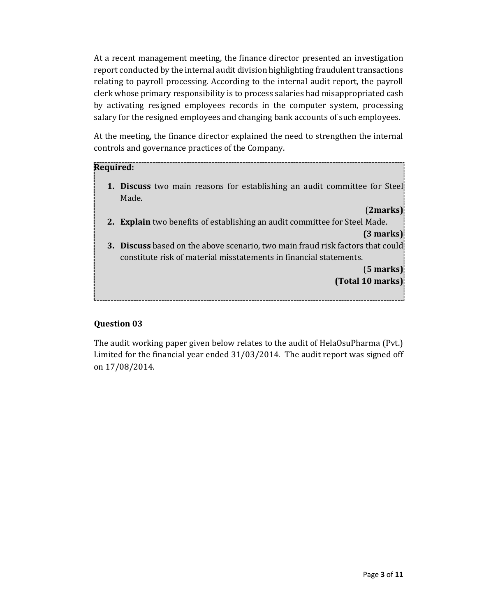At a recent management meeting, the finance director presented an investigation report conducted by the internal audit division highlighting fraudulent transactions relating to payroll processing. According to the internal audit report, the payroll clerk whose primary responsibility is to process salaries had misappropriated cash by activating resigned employees records in the computer system, processing salary for the resigned employees and changing bank accounts of such employees.

At the meeting, the finance director explained the need to strengthen the internal controls and governance practices of the Company.

#### **Required:**

**1. Discuss** two main reasons for establishing an audit committee for Steel Made.

#### (**2marks)**

**2. Explain** two benefits of establishing an audit committee for Steel Made.

**(3 marks)** 

**3. Discuss** based on the above scenario, two main fraud risk factors that could constitute risk of material misstatements in financial statements.

> (**5 marks) (Total 10 marks)**

#### **Question 03**

The audit working paper given below relates to the audit of HelaOsuPharma (Pvt.) Limited for the financial year ended 31/03/2014. The audit report was signed off on 17/08/2014.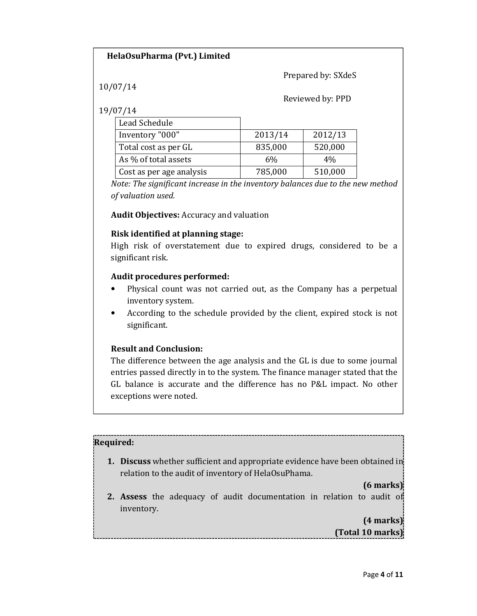#### **HelaOsuPharma (Pvt.) Limited**

Prepared by: SXdeS

10/07/14

#### Reviewed by: PPD

19/07/14

| Lead Schedule            |         |         |
|--------------------------|---------|---------|
| Inventory "000"          | 2013/14 | 2012/13 |
| Total cost as per GL     | 835,000 | 520,000 |
| As % of total assets     | 6%      | 4%      |
| Cost as per age analysis | 785,000 | 510,000 |

*Note: The significant increase in the inventory balances due to the new method of valuation used.* 

**Audit Objectives:** Accuracy and valuation

#### **Risk identified at planning stage:**

High risk of overstatement due to expired drugs, considered to be a significant risk.

#### **Audit procedures performed:**

- Physical count was not carried out, as the Company has a perpetual inventory system.
- According to the schedule provided by the client, expired stock is not significant.

#### **Result and Conclusion:**

The difference between the age analysis and the GL is due to some journal entries passed directly in to the system. The finance manager stated that the GL balance is accurate and the difference has no P&L impact. No other exceptions were noted.

#### **Required:**

**1. Discuss** whether sufficient and appropriate evidence have been obtained in relation to the audit of inventory of HelaOsuPhama.

#### **(6 marks)**

**2. Assess** the adequacy of audit documentation in relation to audit of inventory.

## **(4 marks) (Total 10 marks)**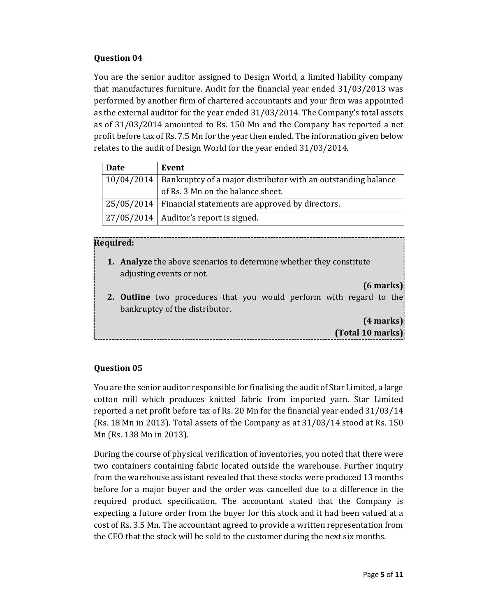#### **Question 04**

You are the senior auditor assigned to Design World, a limited liability company that manufactures furniture. Audit for the financial year ended 31/03/2013 was performed by another firm of chartered accountants and your firm was appointed as the external auditor for the year ended 31/03/2014. The Company's total assets as of 31/03/2014 amounted to Rs. 150 Mn and the Company has reported a net profit before tax of Rs. 7.5 Mn for the year then ended. The information given below relates to the audit of Design World for the year ended 31/03/2014.

| Date | Event                                                                      |
|------|----------------------------------------------------------------------------|
|      | $10/04/2014$ Bankruptcy of a major distributor with an outstanding balance |
|      | of Rs. 3 Mn on the balance sheet.                                          |
|      | 25/05/2014   Financial statements are approved by directors.               |
|      | $\vert$ 27/05/2014   Auditor's report is signed.                           |

#### **Required:**

- **1. Analyze** the above scenarios to determine whether they constitute adjusting events or not.
- **2. Outline** two procedures that you would perform with regard to the bankruptcy of the distributor.

**(4 marks) (Total 10 marks)**

**(6 marks)** 

#### **Question 05**

You are the senior auditor responsible for finalising the audit of Star Limited, a large cotton mill which produces knitted fabric from imported yarn. Star Limited reported a net profit before tax of Rs. 20 Mn for the financial year ended 31/03/14 (Rs. 18 Mn in 2013). Total assets of the Company as at 31/03/14 stood at Rs. 150 Mn (Rs. 138 Mn in 2013).

During the course of physical verification of inventories, you noted that there were two containers containing fabric located outside the warehouse. Further inquiry from the warehouse assistant revealed that these stocks were produced 13 months before for a major buyer and the order was cancelled due to a difference in the required product specification. The accountant stated that the Company is expecting a future order from the buyer for this stock and it had been valued at a cost of Rs. 3.5 Mn. The accountant agreed to provide a written representation from the CEO that the stock will be sold to the customer during the next six months.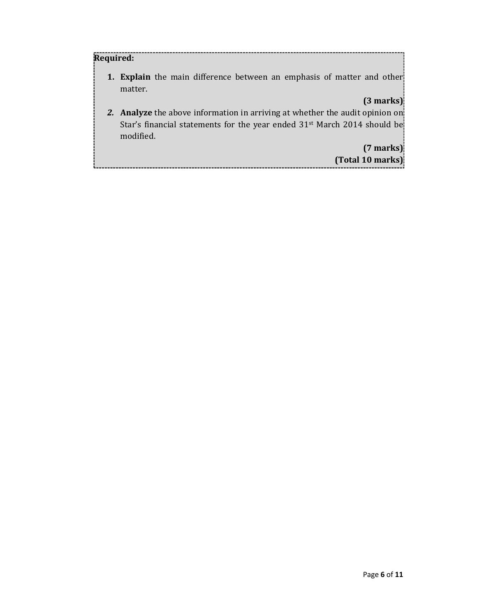#### **Required:**

**1. Explain** the main difference between an emphasis of matter and other matter.

### **(3 marks)**

*2.* **Analyze** the above information in arriving at whether the audit opinion on Star's financial statements for the year ended 31<sup>st</sup> March 2014 should be modified.

> **(7 marks) (Total 10 marks)**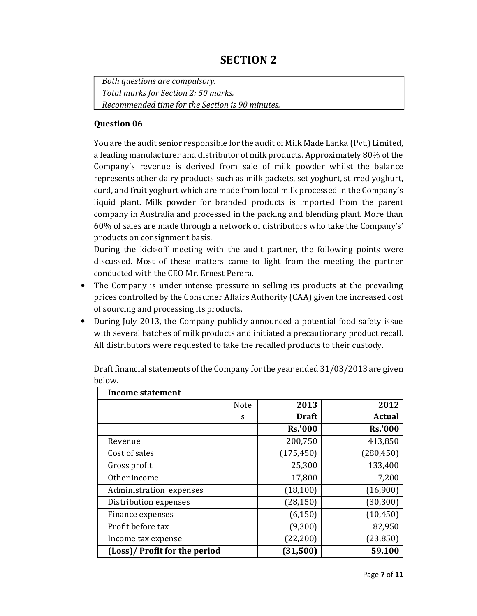# **SECTION 2**

*Both questions are compulsory. Total marks for Section 2: 50 marks. Recommended time for the Section is 90 minutes.* 

#### **Question 06**

You are the audit senior responsible for the audit of Milk Made Lanka (Pvt.) Limited, a leading manufacturer and distributor of milk products. Approximately 80% of the Company's revenue is derived from sale of milk powder whilst the balance represents other dairy products such as milk packets, set yoghurt, stirred yoghurt, curd, and fruit yoghurt which are made from local milk processed in the Company's liquid plant. Milk powder for branded products is imported from the parent company in Australia and processed in the packing and blending plant. More than 60% of sales are made through a network of distributors who take the Company's' products on consignment basis.

During the kick-off meeting with the audit partner, the following points were discussed. Most of these matters came to light from the meeting the partner conducted with the CEO Mr. Ernest Perera.

- The Company is under intense pressure in selling its products at the prevailing prices controlled by the Consumer Affairs Authority (CAA) given the increased cost of sourcing and processing its products.
- During July 2013, the Company publicly announced a potential food safety issue with several batches of milk products and initiated a precautionary product recall. All distributors were requested to take the recalled products to their custody.

| Income statement              |      |                |                |  |
|-------------------------------|------|----------------|----------------|--|
|                               | Note | 2013           | 2012           |  |
|                               | S    | <b>Draft</b>   | <b>Actual</b>  |  |
|                               |      | <b>Rs.'000</b> | <b>Rs.'000</b> |  |
| Revenue                       |      | 200,750        | 413,850        |  |
| Cost of sales                 |      | (175, 450)     | (280, 450)     |  |
| Gross profit                  |      | 25,300         | 133,400        |  |
| Other income                  |      | 17,800         | 7,200          |  |
| Administration expenses       |      | (18, 100)      | (16,900)       |  |
| Distribution expenses         |      | (28, 150)      | (30, 300)      |  |
| Finance expenses              |      | (6, 150)       | (10, 450)      |  |
| Profit before tax             |      | (9,300)        | 82,950         |  |
| Income tax expense            |      | (22, 200)      | (23, 850)      |  |
| (Loss)/ Profit for the period |      | (31,500)       | 59,100         |  |

Draft financial statements of the Company for the year ended 31/03/2013 are given below.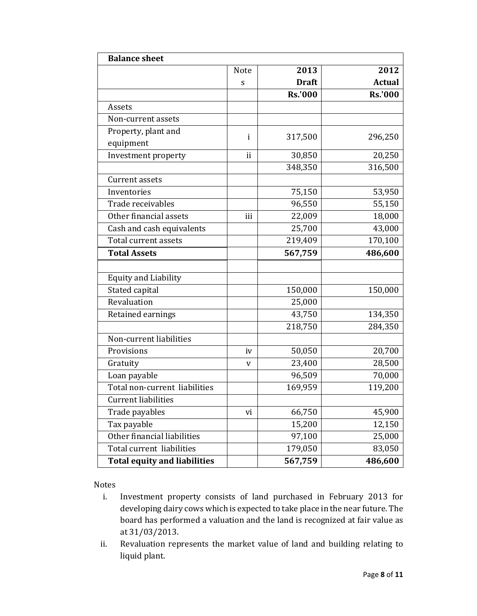| <b>Balance sheet</b>                |              |                |                |  |
|-------------------------------------|--------------|----------------|----------------|--|
|                                     | <b>Note</b>  | 2013           | 2012           |  |
|                                     | S            | <b>Draft</b>   | <b>Actual</b>  |  |
|                                     |              | <b>Rs.'000</b> | <b>Rs.'000</b> |  |
| Assets                              |              |                |                |  |
| Non-current assets                  |              |                |                |  |
| Property, plant and                 | $\mathbf{i}$ | 317,500        | 296,250        |  |
| equipment                           |              |                |                |  |
| Investment property                 | ii           | 30,850         | 20,250         |  |
|                                     |              | 348,350        | 316,500        |  |
| <b>Current assets</b>               |              |                |                |  |
| Inventories                         |              | 75,150         | 53,950         |  |
| Trade receivables                   |              | 96,550         | 55,150         |  |
| Other financial assets              | iii          | 22,009         | 18,000         |  |
| Cash and cash equivalents           |              | 25,700         | 43,000         |  |
| Total current assets                |              | 219,409        | 170,100        |  |
| <b>Total Assets</b>                 |              | 567,759        | 486,600        |  |
|                                     |              |                |                |  |
| <b>Equity and Liability</b>         |              |                |                |  |
| Stated capital                      |              | 150,000        | 150,000        |  |
| Revaluation                         |              | 25,000         |                |  |
| Retained earnings                   |              | 43,750         | 134,350        |  |
|                                     |              | 218,750        | 284,350        |  |
| Non-current liabilities             |              |                |                |  |
| Provisions                          | iv           | 50,050         | 20,700         |  |
| Gratuity                            | V            | 23,400         | 28,500         |  |
| Loan payable                        |              | 96,509         | 70,000         |  |
| Total non-current liabilities       |              | 169,959        | 119,200        |  |
| <b>Current liabilities</b>          |              |                |                |  |
| Trade payables                      | vi           | 66,750         | 45,900         |  |
| Tax payable                         |              | 15,200         | 12,150         |  |
| Other financial liabilities         |              | 97,100         | 25,000         |  |
| Total current liabilities           |              | 179,050        | 83,050         |  |
| <b>Total equity and liabilities</b> |              | 567,759        | 486,600        |  |

Notes

- i. Investment property consists of land purchased in February 2013 for developing dairy cows which is expected to take place in the near future. The board has performed a valuation and the land is recognized at fair value as at 31/03/2013.
- ii. Revaluation represents the market value of land and building relating to liquid plant.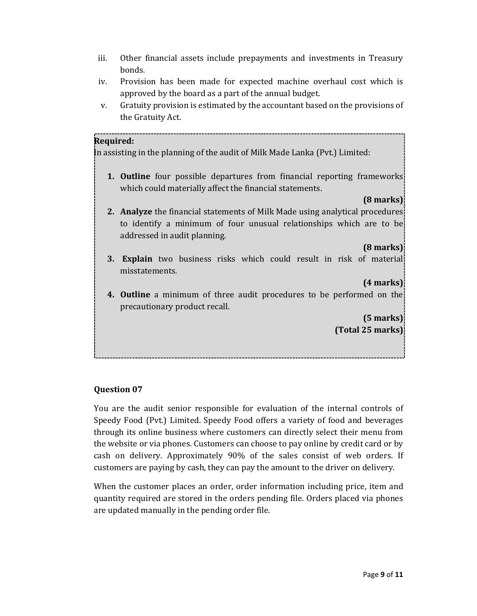- iii. Other financial assets include prepayments and investments in Treasury bonds.
- iv. Provision has been made for expected machine overhaul cost which is approved by the board as a part of the annual budget.
- v. Gratuity provision is estimated by the accountant based on the provisions of the Gratuity Act.

#### **Required:**

In assisting in the planning of the audit of Milk Made Lanka (Pvt.) Limited:

**1. Outline** four possible departures from financial reporting frameworks which could materially affect the financial statements.

#### **(8 marks)**

**2. Analyze** the financial statements of Milk Made using analytical procedures to identify a minimum of four unusual relationships which are to be addressed in audit planning.

#### **(8 marks)**

**3. Explain** two business risks which could result in risk of material misstatements.

#### **(4 marks)**

**4. Outline** a minimum of three audit procedures to be performed on the precautionary product recall.

> **(5 marks) (Total 25 marks)**

#### **Question 07**

You are the audit senior responsible for evaluation of the internal controls of Speedy Food (Pvt.) Limited. Speedy Food offers a variety of food and beverages through its online business where customers can directly select their menu from the website or via phones. Customers can choose to pay online by credit card or by cash on delivery. Approximately 90% of the sales consist of web orders. If customers are paying by cash, they can pay the amount to the driver on delivery.

When the customer places an order, order information including price, item and quantity required are stored in the orders pending file. Orders placed via phones are updated manually in the pending order file.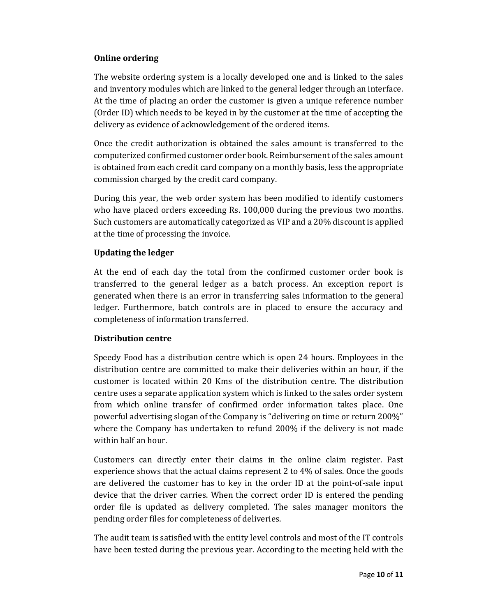#### **Online ordering**

The website ordering system is a locally developed one and is linked to the sales and inventory modules which are linked to the general ledger through an interface. At the time of placing an order the customer is given a unique reference number (Order ID) which needs to be keyed in by the customer at the time of accepting the delivery as evidence of acknowledgement of the ordered items.

Once the credit authorization is obtained the sales amount is transferred to the computerized confirmed customer order book. Reimbursement of the sales amount is obtained from each credit card company on a monthly basis, less the appropriate commission charged by the credit card company.

During this year, the web order system has been modified to identify customers who have placed orders exceeding Rs. 100,000 during the previous two months. Such customers are automatically categorized as VIP and a 20% discount is applied at the time of processing the invoice.

#### **Updating the ledger**

At the end of each day the total from the confirmed customer order book is transferred to the general ledger as a batch process. An exception report is generated when there is an error in transferring sales information to the general ledger. Furthermore, batch controls are in placed to ensure the accuracy and completeness of information transferred.

#### **Distribution centre**

Speedy Food has a distribution centre which is open 24 hours. Employees in the distribution centre are committed to make their deliveries within an hour, if the customer is located within 20 Kms of the distribution centre. The distribution centre uses a separate application system which is linked to the sales order system from which online transfer of confirmed order information takes place. One powerful advertising slogan of the Company is "delivering on time or return 200%" where the Company has undertaken to refund 200% if the delivery is not made within half an hour.

Customers can directly enter their claims in the online claim register. Past experience shows that the actual claims represent 2 to 4% of sales. Once the goods are delivered the customer has to key in the order ID at the point-of-sale input device that the driver carries. When the correct order ID is entered the pending order file is updated as delivery completed. The sales manager monitors the pending order files for completeness of deliveries.

The audit team is satisfied with the entity level controls and most of the IT controls have been tested during the previous year. According to the meeting held with the